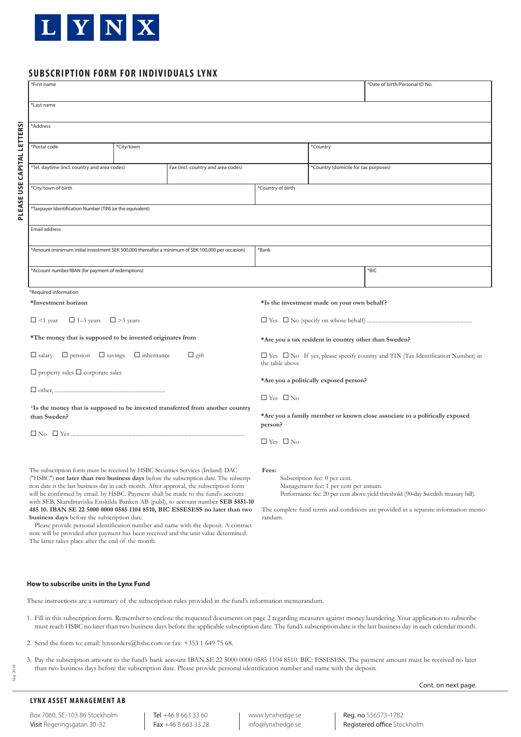

**PLEASE USE CAPITAL LETTERS!** 

PLEASE USE CAPITAL LETTERS!

# **SUBSCRIPTION FORM FOR INDIVIDUALS LYNX**

| *First name                                                                                                                                                                                                                                                          |  |  |                                                                                                               |                                      | *Date of birth/Personal ID No. |
|----------------------------------------------------------------------------------------------------------------------------------------------------------------------------------------------------------------------------------------------------------------------|--|--|---------------------------------------------------------------------------------------------------------------|--------------------------------------|--------------------------------|
| *Last name                                                                                                                                                                                                                                                           |  |  |                                                                                                               |                                      |                                |
| *Address                                                                                                                                                                                                                                                             |  |  |                                                                                                               |                                      |                                |
| *Postal code<br>*City/town                                                                                                                                                                                                                                           |  |  |                                                                                                               | *Country                             |                                |
| *Tel. daytime (incl. country and area codes)<br>Fax (incl. country and area codes)                                                                                                                                                                                   |  |  |                                                                                                               | *Country (domicile for tax purposes) |                                |
| *City/town of birth                                                                                                                                                                                                                                                  |  |  | *Country of birth                                                                                             |                                      |                                |
| 'Taxpayer Identification Number (TIN) (or the equivalent)                                                                                                                                                                                                            |  |  |                                                                                                               |                                      |                                |
| Email address                                                                                                                                                                                                                                                        |  |  |                                                                                                               |                                      |                                |
| Mount (minimum initial investment SEK 500,000 thereafter a minimum of SEK 100,000 per occasion)***                                                                                                                                                                   |  |  | *Bank                                                                                                         |                                      |                                |
| *Account number/IBAN (for payment of redemptions)                                                                                                                                                                                                                    |  |  |                                                                                                               |                                      | *BIC                           |
| *Required information                                                                                                                                                                                                                                                |  |  |                                                                                                               |                                      |                                |
| *Investment horizon                                                                                                                                                                                                                                                  |  |  | *Is the investment made on your own behalf?                                                                   |                                      |                                |
| $\Box$ 1–3 years<br>$\Box$ <1 year<br>$\Box$ > 3 years                                                                                                                                                                                                               |  |  |                                                                                                               |                                      |                                |
| *The money that is supposed to be invested originates from                                                                                                                                                                                                           |  |  | *Are you a tax resident in country other than Sweden?                                                         |                                      |                                |
| $\Box$ pension<br>$\Box$ savings<br>$\Box$ inheritance<br>$\Box$ gift<br>$\Box$ salary                                                                                                                                                                               |  |  | $\Box$ Yes $\Box$ No If yes, please specify country and TIN (Tax Identification Number) in<br>the table above |                                      |                                |
| $\Box$ property sales $\Box$ corporate sales<br>*Is the money that is supposed to be invested transferred from another country                                                                                                                                       |  |  | *Are you a politically exposed person?                                                                        |                                      |                                |
|                                                                                                                                                                                                                                                                      |  |  | $\Box$ Yes $\Box$ No                                                                                          |                                      |                                |
| than Sweden?                                                                                                                                                                                                                                                         |  |  | *Are you a family member or known close associate to a politically exposed<br>person?                         |                                      |                                |
|                                                                                                                                                                                                                                                                      |  |  | $\Box$ Yes $\Box$ No                                                                                          |                                      |                                |
| The subscription form must be received by HSBC Securities Services (Ireland) DAC<br>("HSBC") not later than two business days before the subscription date. The subscrip-<br>tion date is the last business day in each month. After approval, the subscription form |  |  | Fees:<br>Subscription fee: 0 per cent.<br>Management fee: 1 per cent per annum.                               |                                      |                                |

Performance fee: 20 per cent above yield threshold (90-day Swedish treasury bill).

The complete fund terms and conditions are provided in a separate information memorandum.

#### **How to subscribe units in the Lynx Fund**

**business days** before the subscription date.

The latter takes place after the end of the month.

These instructions are a summary of the subscription rules provided in the fund's information memorandum.

- 1. Fill in this subscription form. Remember to enclose the requested documents on page 2 regarding measures against money laundering. Your application to subscribe must reach HSBC no later than two business days before the applicable subscription date. The fund's subscription date is the last business day in each calendar month.
- 2. Send the form to: email: lynxorders@hsbc.com or fax: +353 1 649 75 68.

will be confirmed by email. by HSBC. Payment shall be made to the fund's account with SEB, Skandinaviska Enskilda Banken AB (publ), to account number **SEB 5851-10 485 10. IBAN SE 22 5000 0000 0585 1104 8510, BIC ESSESESS no later than two** 

 Please provide personal identification number and name with the deposit. A contract note will be provided after payment has been received and the unit value determined.

3. Pay the subscription amount to the fund's bank account IBAN SE 22 5000 0000 0585 1104 8510. BIC: ESSESESS. The payment amount must be received no later than two business days before the subscription date. Please provide personal identification number and name with the deposit.

Cont. on next page.

## **LYNX ASSET MANAGEMENT AB**

Box 7060, SE-103 86 Stockholm Visit Regeringsgatan 30-32

Tel +46 8 663 33 60 Fax +46 8 663 33 28 www.lynxhedge.se info@lynxhedge.se

Reg. no 556573-1782 Registered office Stockholm